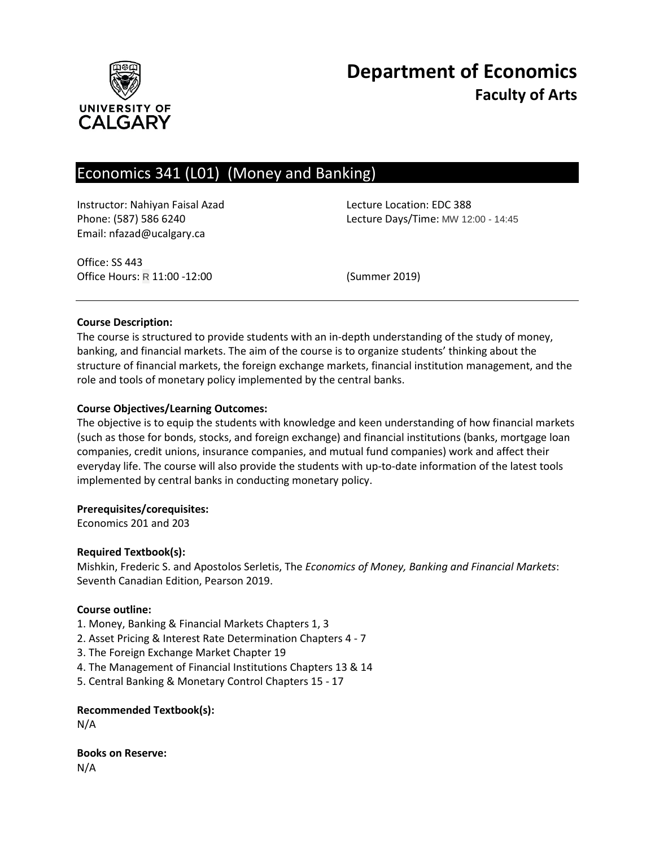

# **Department of Economics Faculty of Arts**

# Economics 341 (L01) (Money and Banking)

Instructor: Nahiyan Faisal Azad Lecture Location: EDC 388 Email: nfazad@ucalgary.ca

Phone: (587) 586 6240 Lecture Days/Time: MW 12:00 - 14:45

Office: SS 443 Office Hours: R 11:00 -12:00 (Summer 2019)

#### **Course Description:**

The course is structured to provide students with an in-depth understanding of the study of money, banking, and financial markets. The aim of the course is to organize students' thinking about the structure of financial markets, the foreign exchange markets, financial institution management, and the role and tools of monetary policy implemented by the central banks.

#### **Course Objectives/Learning Outcomes:**

The objective is to equip the students with knowledge and keen understanding of how financial markets (such as those for bonds, stocks, and foreign exchange) and financial institutions (banks, mortgage loan companies, credit unions, insurance companies, and mutual fund companies) work and affect their everyday life. The course will also provide the students with up-to-date information of the latest tools implemented by central banks in conducting monetary policy.

#### **Prerequisites/corequisites:**

Economics 201 and 203

#### **Required Textbook(s):**

Mishkin, Frederic S. and Apostolos Serletis, The *Economics of Money, Banking and Financial Markets*: Seventh Canadian Edition, Pearson 2019.

#### **Course outline:**

- 1. Money, Banking & Financial Markets Chapters 1, 3
- 2. Asset Pricing & Interest Rate Determination Chapters 4 7
- 3. The Foreign Exchange Market Chapter 19
- 4. The Management of Financial Institutions Chapters 13 & 14
- 5. Central Banking & Monetary Control Chapters 15 17

**Recommended Textbook(s):**

N/A

**Books on Reserve:** N/A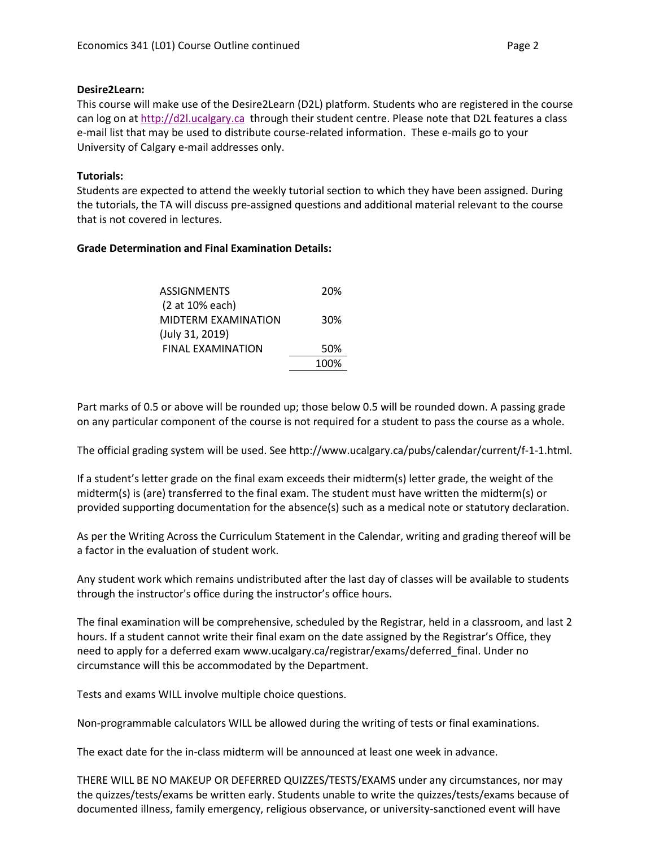### **Desire2Learn:**

This course will make use of the Desire2Learn (D2L) platform. Students who are registered in the course can log on a[t http://d2l.ucalgary.ca](http://d2l.ucalgary.ca/) through their student centre. Please note that D2L features a class e-mail list that may be used to distribute course-related information. These e-mails go to your University of Calgary e-mail addresses only.

# **Tutorials:**

Students are expected to attend the weekly tutorial section to which they have been assigned. During the tutorials, the TA will discuss pre-assigned questions and additional material relevant to the course that is not covered in lectures.

# **Grade Determination and Final Examination Details:**

| ASSIGNMENTS              | 20%  |
|--------------------------|------|
| (2 at 10% each)          |      |
| MIDTERM EXAMINATION      | 30%  |
| (July 31, 2019)          |      |
| <b>FINAL EXAMINATION</b> | 50%  |
|                          | 100% |
|                          |      |

Part marks of 0.5 or above will be rounded up; those below 0.5 will be rounded down. A passing grade on any particular component of the course is not required for a student to pass the course as a whole.

The official grading system will be used. See http://www.ucalgary.ca/pubs/calendar/current/f-1-1.html.

If a student's letter grade on the final exam exceeds their midterm(s) letter grade, the weight of the midterm(s) is (are) transferred to the final exam. The student must have written the midterm(s) or provided supporting documentation for the absence(s) such as a medical note or statutory declaration.

As per the Writing Across the Curriculum Statement in the Calendar, writing and grading thereof will be a factor in the evaluation of student work.

Any student work which remains undistributed after the last day of classes will be available to students through the instructor's office during the instructor's office hours.

The final examination will be comprehensive, scheduled by the Registrar, held in a classroom, and last 2 hours. If a student cannot write their final exam on the date assigned by the Registrar's Office, they need to apply for a deferred exam www.ucalgary.ca/registrar/exams/deferred\_final. Under no circumstance will this be accommodated by the Department.

Tests and exams WILL involve multiple choice questions.

Non-programmable calculators WILL be allowed during the writing of tests or final examinations.

The exact date for the in-class midterm will be announced at least one week in advance.

THERE WILL BE NO MAKEUP OR DEFERRED QUIZZES/TESTS/EXAMS under any circumstances, nor may the quizzes/tests/exams be written early. Students unable to write the quizzes/tests/exams because of documented illness, family emergency, religious observance, or university-sanctioned event will have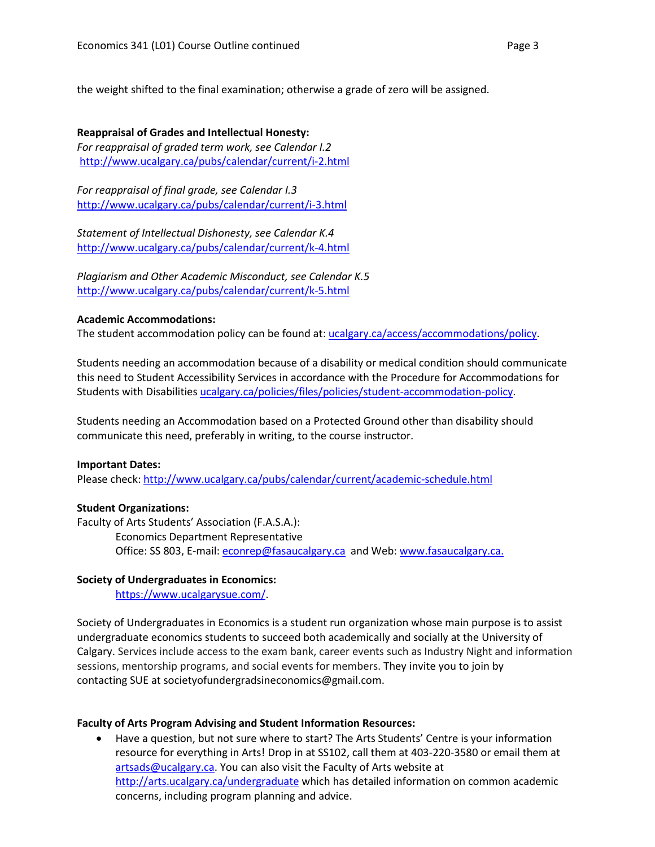the weight shifted to the final examination; otherwise a grade of zero will be assigned.

**Reappraisal of Grades and Intellectual Honesty:** *For reappraisal of graded term work, see Calendar I.2* <http://www.ucalgary.ca/pubs/calendar/current/i-2.html>

*For reappraisal of final grade, see Calendar I.3* <http://www.ucalgary.ca/pubs/calendar/current/i-3.html>

*Statement of Intellectual Dishonesty, see Calendar K.4* <http://www.ucalgary.ca/pubs/calendar/current/k-4.html>

*Plagiarism and Other Academic Misconduct, see Calendar K.5* <http://www.ucalgary.ca/pubs/calendar/current/k-5.html>

#### **Academic Accommodations:**

The student accommodation policy can be found at: [ucalgary.ca/access/accommodations/policy.](http://www.ucalgary.ca/access/accommodations/policy)

Students needing an accommodation because of a disability or medical condition should communicate this need to Student Accessibility Services in accordance with the Procedure for Accommodations for Students with Disabilities [ucalgary.ca/policies/files/policies/student-accommodation-policy.](http://www.ucalgary.ca/policies/files/policies/student-accommodation-policy.pdf)

Students needing an Accommodation based on a Protected Ground other than disability should communicate this need, preferably in writing, to the course instructor.

#### **Important Dates:**

Please check:<http://www.ucalgary.ca/pubs/calendar/current/academic-schedule.html>

#### **Student Organizations:**

Faculty of Arts Students' Association (F.A.S.A.): Economics Department Representative Office: SS 803, E-mail: [econrep@fasaucalgary.ca](mailto:econrep@fasaucalgary.ca) and Web[: www.fasaucalgary.ca.](http://www.fasaucalgary.ca/)

#### **Society of Undergraduates in Economics:**

[https://www.ucalgarysue.com/.](https://www.ucalgarysue.com/)

Society of Undergraduates in Economics is a student run organization whose main purpose is to assist undergraduate economics students to succeed both academically and socially at the University of Calgary. Services include access to the exam bank, career events such as Industry Night and information sessions, mentorship programs, and social events for members. They invite you to join by contacting SUE at societyofundergradsineconomics@gmail.com.

#### **Faculty of Arts Program Advising and Student Information Resources:**

• Have a question, but not sure where to start? The Arts Students' Centre is your information resource for everything in Arts! Drop in at SS102, call them at 403-220-3580 or email them at [artsads@ucalgary.ca.](mailto:artsads@ucalgary.ca) You can also visit the Faculty of Arts website at <http://arts.ucalgary.ca/undergraduate> which has detailed information on common academic concerns, including program planning and advice.